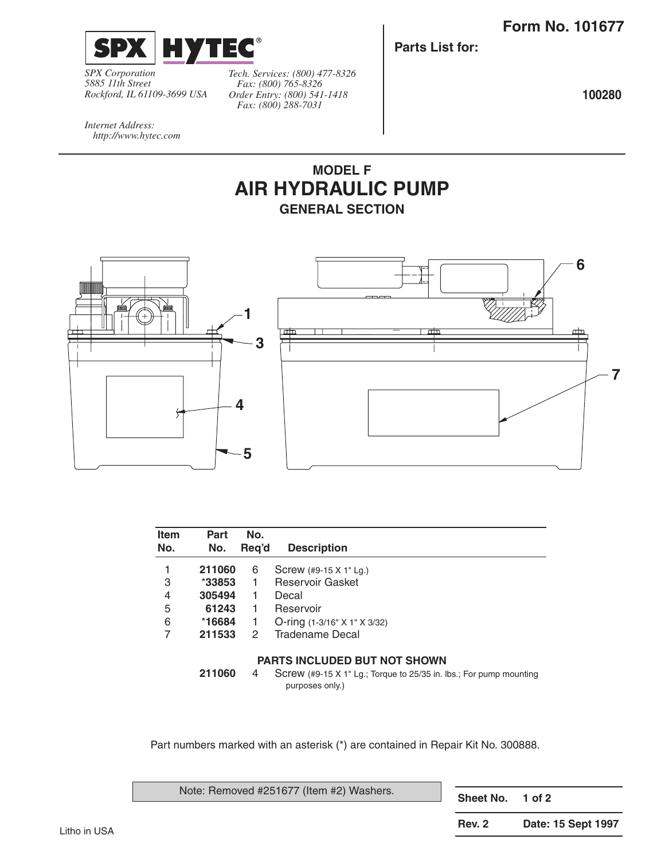

*SPX Corporation 5885 11th Street Rockford, IL 61109-3699 USA*

*Tech. Services: (800) 477-8326 Fax: (800) 765-8326 Order Entry: (800) 541-1418 Fax: (800) 288-7031*

**Parts List for:**

**100280**

*Internet Address: http://www.hytec.com*

Litho in USA

## **MODEL F AIR HYDRAULIC PUMP GENERAL SECTION**



| <b>Item</b><br>No. | Part<br>No. | No.<br>Reg'd | <b>Description</b>           |  |  |  |  |
|--------------------|-------------|--------------|------------------------------|--|--|--|--|
|                    | 211060      | 6            | Screw (#9-15 X 1" Lg.)       |  |  |  |  |
| 3                  | $*33853$    |              | <b>Reservoir Gasket</b>      |  |  |  |  |
| 4                  | 305494      |              | Decal                        |  |  |  |  |
| 5                  | 61243       |              | Reservoir                    |  |  |  |  |
| 6                  | *16684      |              | O-ring (1-3/16" X 1" X 3/32) |  |  |  |  |
| $\overline{7}$     | 211533      | 2            | <b>Tradename Decal</b>       |  |  |  |  |
|                    |             |              |                              |  |  |  |  |

## **PARTS INCLUDED BUT NOT SHOWN**

**211060** 4 Screw (#9-15 X 1" Lg.; Torque to 25/35 in. lbs.; For pump mounting purposes only.)

Part numbers marked with an asterisk (\*) are contained in Repair Kit No. 300888.

| Note: Removed #251677 (Item #2) Washers. | Sheet No. 1 of 2 |                    |
|------------------------------------------|------------------|--------------------|
|                                          | <b>Rev. 2</b>    | Date: 15 Sept 1997 |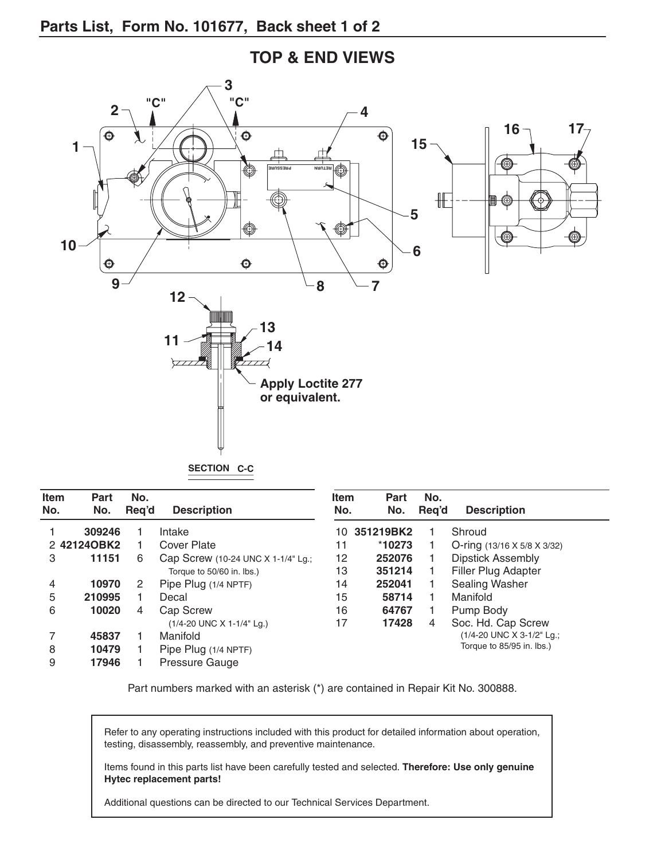

**TOP & END VIEWS**

**SECTION C-C**

| <b>Item</b><br>No. | <b>Part</b><br>No. | No.<br>Req'd | <b>Description</b>                 | <b>Item</b><br>No. | Part<br>No. | No.<br>Req'd | <b>Description</b>                      |
|--------------------|--------------------|--------------|------------------------------------|--------------------|-------------|--------------|-----------------------------------------|
|                    | 309246             |              | Intake                             | 10.                | 351219BK2   |              | Shroud                                  |
|                    | 2 421240BK2        |              | <b>Cover Plate</b>                 | 11                 | $*10273$    |              | O-ring $(13/16 \times 5/8 \times 3/32)$ |
| 3                  | 11151              | 6            | Cap Screw (10-24 UNC X 1-1/4" Lg.; | 12                 | 252076      |              | <b>Dipstick Assembly</b>                |
|                    |                    |              | Torque to 50/60 in. lbs.)          | 13                 | 351214      |              | <b>Filler Plug Adapter</b>              |
| 4                  | 10970              | 2            | Pipe Plug (1/4 NPTF)               | 14                 | 252041      |              | Sealing Washer                          |
| 5                  | 210995             |              | Decal                              | 15                 | 58714       |              | Manifold                                |
| 6                  | 10020              | 4            | <b>Cap Screw</b>                   | 16                 | 64767       |              | Pump Body                               |
|                    |                    |              | (1/4-20 UNC X 1-1/4" Lg.)          | 17                 | 17428       | 4            | Soc. Hd. Cap Screw                      |
|                    | 45837              |              | Manifold                           |                    |             |              | (1/4-20 UNC X 3-1/2" Lg.;               |
| 8                  | 10479              |              | Pipe Plug (1/4 NPTF)               |                    |             |              | Torque to 85/95 in. lbs.)               |
| 9                  | 17946              |              | Pressure Gauge                     |                    |             |              |                                         |

Part numbers marked with an asterisk (\*) are contained in Repair Kit No. 300888.

Refer to any operating instructions included with this product for detailed information about operation, testing, disassembly, reassembly, and preventive maintenance.

Items found in this parts list have been carefully tested and selected. **Therefore: Use only genuine Hytec replacement parts!**

Additional questions can be directed to our Technical Services Department.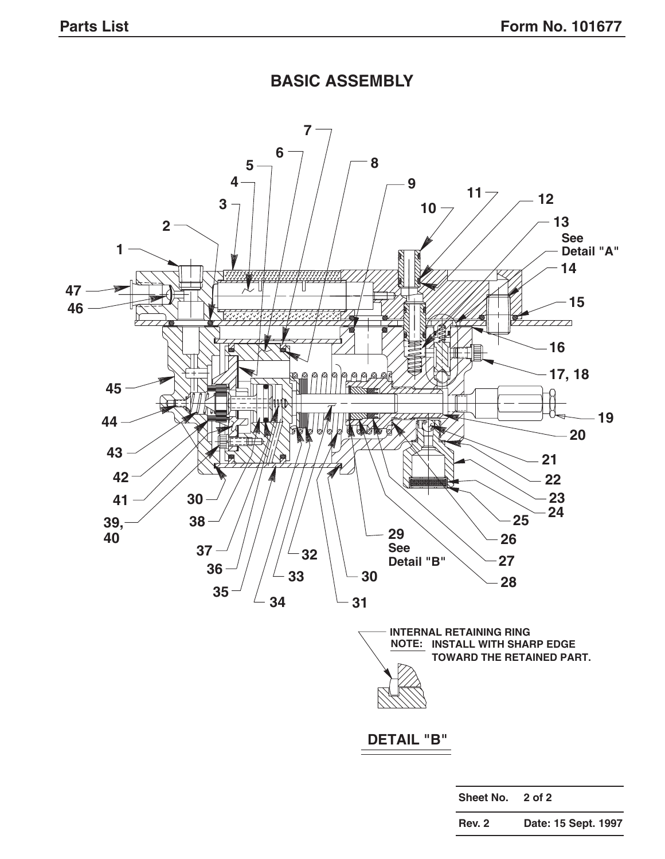## **BASIC ASSEMBLY**